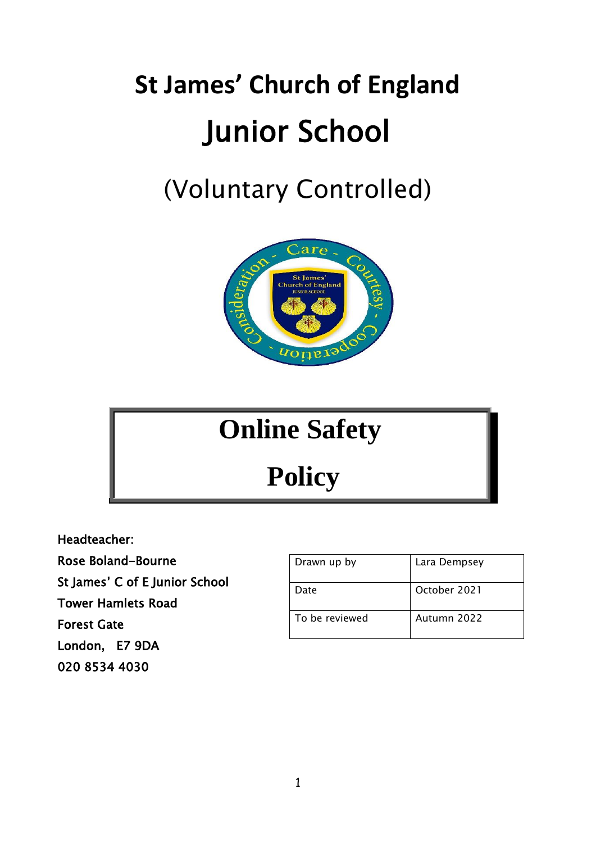# **St James' Church of England** Junior School

## (Voluntary Controlled)



### **Online Safety**

**Policy**

Headteacher:

Rose Boland-Bourne

St James' C of E Junior School

Tower Hamlets Road

Forest Gate

London, E7 9DA

020 8534 4030

| Drawn up by    | Lara Dempsey |
|----------------|--------------|
| Date           | October 2021 |
| To be reviewed | Autumn 2022  |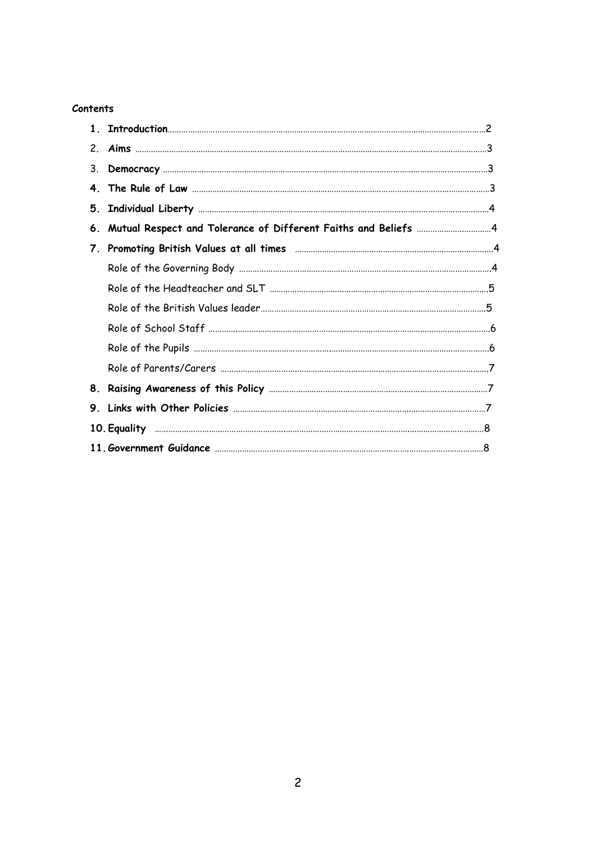#### **Contents**

| $2_{-}$ |                                                                              |  |
|---------|------------------------------------------------------------------------------|--|
| 3.      |                                                                              |  |
|         |                                                                              |  |
| 5.      |                                                                              |  |
| 6.      | Mutual Respect and Tolerance of Different Faiths and Beliefs ……………………………………4 |  |
|         |                                                                              |  |
|         |                                                                              |  |
|         |                                                                              |  |
|         |                                                                              |  |
|         |                                                                              |  |
|         |                                                                              |  |
|         |                                                                              |  |
|         |                                                                              |  |
|         |                                                                              |  |
|         |                                                                              |  |
|         |                                                                              |  |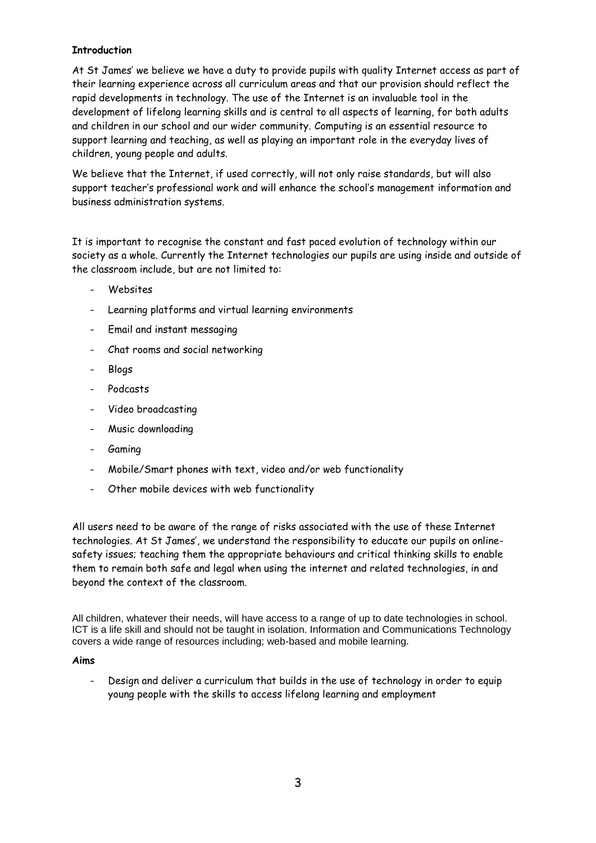#### **Introduction**

At St James' we believe we have a duty to provide pupils with quality Internet access as part of their learning experience across all curriculum areas and that our provision should reflect the rapid developments in technology. The use of the Internet is an invaluable tool in the development of lifelong learning skills and is central to all aspects of learning, for both adults and children in our school and our wider community. Computing is an essential resource to support learning and teaching, as well as playing an important role in the everyday lives of children, young people and adults.

We believe that the Internet, if used correctly, will not only raise standards, but will also support teacher's professional work and will enhance the school's management information and business administration systems.

It is important to recognise the constant and fast paced evolution of technology within our society as a whole. Currently the Internet technologies our pupils are using inside and outside of the classroom include, but are not limited to:

- Websites
- Learning platforms and virtual learning environments
- Email and instant messaging
- Chat rooms and social networking
- Blogs
- Podcasts
- Video broadcasting
- Music downloading
- **Gaming**
- Mobile/Smart phones with text, video and/or web functionality
- Other mobile devices with web functionality

All users need to be aware of the range of risks associated with the use of these Internet technologies. At St James', we understand the responsibility to educate our pupils on onlinesafety issues; teaching them the appropriate behaviours and critical thinking skills to enable them to remain both safe and legal when using the internet and related technologies, in and beyond the context of the classroom.

All children, whatever their needs, will have access to a range of up to date technologies in school. ICT is a life skill and should not be taught in isolation. Information and Communications Technology covers a wide range of resources including; web-based and mobile learning.

#### **Aims**

Design and deliver a curriculum that builds in the use of technology in order to equip young people with the skills to access lifelong learning and employment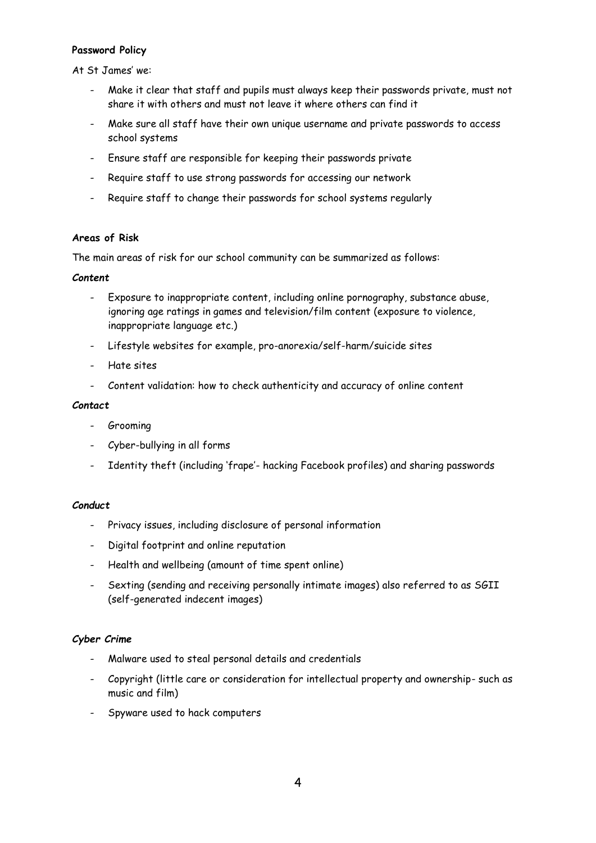#### **Password Policy**

At St James' we:

- Make it clear that staff and pupils must always keep their passwords private, must not share it with others and must not leave it where others can find it
- Make sure all staff have their own unique username and private passwords to access school systems
- Ensure staff are responsible for keeping their passwords private
- Require staff to use strong passwords for accessing our network
- Require staff to change their passwords for school systems regularly

#### **Areas of Risk**

The main areas of risk for our school community can be summarized as follows:

#### *Content*

- Exposure to inappropriate content, including online pornography, substance abuse, ignoring age ratings in games and television/film content (exposure to violence, inappropriate language etc.)
- Lifestyle websites for example, pro-anorexia/self-harm/suicide sites
- Hate sites
- Content validation: how to check authenticity and accuracy of online content

#### *Contact*

- Grooming
- Cyber-bullying in all forms
- Identity theft (including 'frape'- hacking Facebook profiles) and sharing passwords

#### *Conduct*

- Privacy issues, including disclosure of personal information
- Digital footprint and online reputation
- Health and wellbeing (amount of time spent online)
- Sexting (sending and receiving personally intimate images) also referred to as SGII (self-generated indecent images)

#### *Cyber Crime*

- Malware used to steal personal details and credentials
- Copyright (little care or consideration for intellectual property and ownership- such as music and film)
- Spyware used to hack computers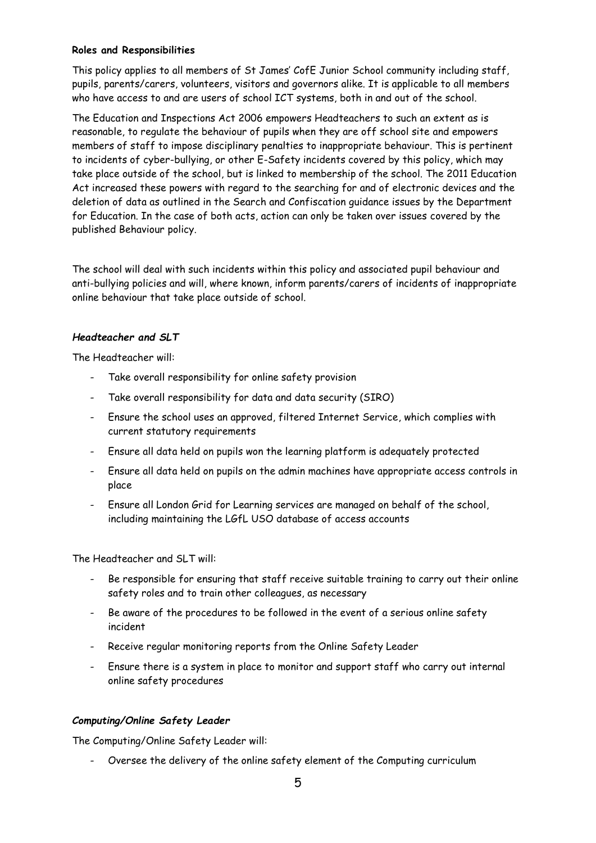#### **Roles and Responsibilities**

This policy applies to all members of St James' CofE Junior School community including staff, pupils, parents/carers, volunteers, visitors and governors alike. It is applicable to all members who have access to and are users of school ICT systems, both in and out of the school.

The Education and Inspections Act 2006 empowers Headteachers to such an extent as is reasonable, to regulate the behaviour of pupils when they are off school site and empowers members of staff to impose disciplinary penalties to inappropriate behaviour. This is pertinent to incidents of cyber-bullying, or other E-Safety incidents covered by this policy, which may take place outside of the school, but is linked to membership of the school. The 2011 Education Act increased these powers with regard to the searching for and of electronic devices and the deletion of data as outlined in the Search and Confiscation guidance issues by the Department for Education. In the case of both acts, action can only be taken over issues covered by the published Behaviour policy.

The school will deal with such incidents within this policy and associated pupil behaviour and anti-bullying policies and will, where known, inform parents/carers of incidents of inappropriate online behaviour that take place outside of school.

#### *Headteacher and SLT*

The Headteacher will:

- Take overall responsibility for online safety provision
- Take overall responsibility for data and data security (SIRO)
- Ensure the school uses an approved, filtered Internet Service, which complies with current statutory requirements
- Ensure all data held on pupils won the learning platform is adequately protected
- Ensure all data held on pupils on the admin machines have appropriate access controls in place
- Ensure all London Grid for Learning services are managed on behalf of the school, including maintaining the LGfL USO database of access accounts

The Headteacher and SLT will:

- Be responsible for ensuring that staff receive suitable training to carry out their online safety roles and to train other colleagues, as necessary
- Be aware of the procedures to be followed in the event of a serious online safety incident
- Receive regular monitoring reports from the Online Safety Leader
- Ensure there is a system in place to monitor and support staff who carry out internal online safety procedures

#### *Computing/Online Safety Leader*

The Computing/Online Safety Leader will:

- Oversee the delivery of the online safety element of the Computing curriculum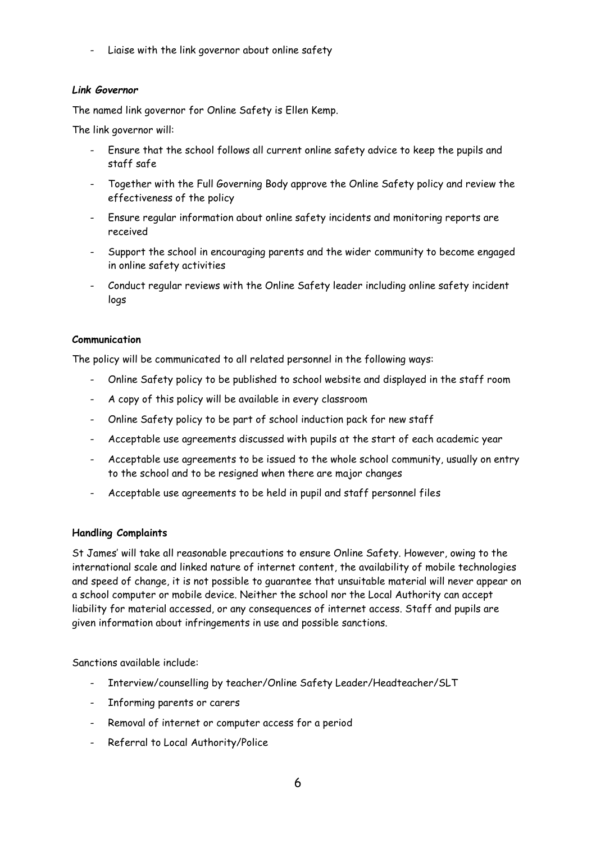- Liaise with the link governor about online safety

#### *Link Governor*

The named link governor for Online Safety is Ellen Kemp.

The link governor will:

- Ensure that the school follows all current online safety advice to keep the pupils and staff safe
- Together with the Full Governing Body approve the Online Safety policy and review the effectiveness of the policy
- Ensure regular information about online safety incidents and monitoring reports are received
- Support the school in encouraging parents and the wider community to become engaged in online safety activities
- Conduct regular reviews with the Online Safety leader including online safety incident logs

#### **Communication**

The policy will be communicated to all related personnel in the following ways:

- Online Safety policy to be published to school website and displayed in the staff room
- A copy of this policy will be available in every classroom
- Online Safety policy to be part of school induction pack for new staff
- Acceptable use agreements discussed with pupils at the start of each academic year
- Acceptable use agreements to be issued to the whole school community, usually on entry to the school and to be resigned when there are major changes
- Acceptable use agreements to be held in pupil and staff personnel files

#### **Handling Complaints**

St James' will take all reasonable precautions to ensure Online Safety. However, owing to the international scale and linked nature of internet content, the availability of mobile technologies and speed of change, it is not possible to guarantee that unsuitable material will never appear on a school computer or mobile device. Neither the school nor the Local Authority can accept liability for material accessed, or any consequences of internet access. Staff and pupils are given information about infringements in use and possible sanctions.

Sanctions available include:

- Interview/counselling by teacher/Online Safety Leader/Headteacher/SLT
- Informing parents or carers
- Removal of internet or computer access for a period
- Referral to Local Authority/Police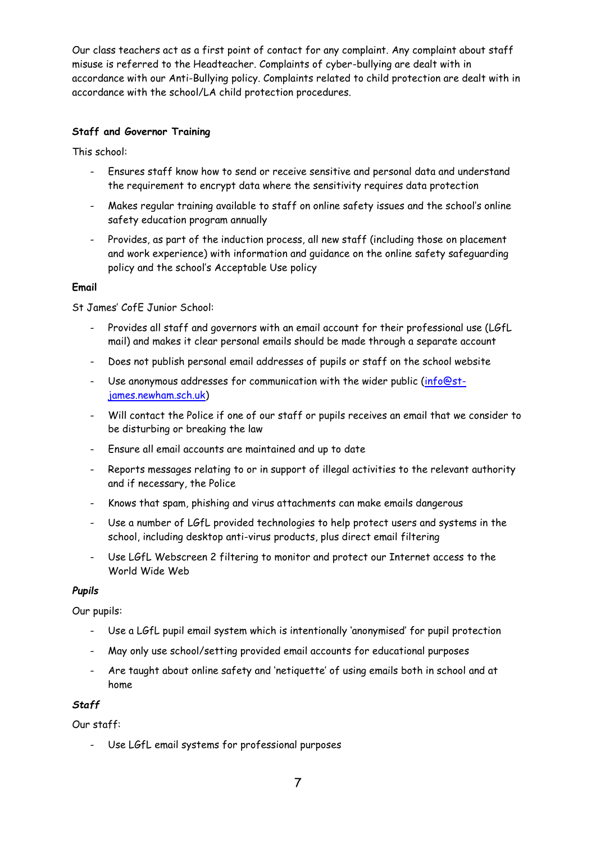Our class teachers act as a first point of contact for any complaint. Any complaint about staff misuse is referred to the Headteacher. Complaints of cyber-bullying are dealt with in accordance with our Anti-Bullying policy. Complaints related to child protection are dealt with in accordance with the school/LA child protection procedures.

#### **Staff and Governor Training**

This school:

- Ensures staff know how to send or receive sensitive and personal data and understand the requirement to encrypt data where the sensitivity requires data protection
- Makes regular training available to staff on online safety issues and the school's online safety education program annually
- Provides, as part of the induction process, all new staff (including those on placement and work experience) with information and guidance on the online safety safeguarding policy and the school's Acceptable Use policy

#### **Email**

St James' CofE Junior School:

- Provides all staff and governors with an email account for their professional use (LGfL mail) and makes it clear personal emails should be made through a separate account
- Does not publish personal email addresses of pupils or staff on the school website
- Use anonymous addresses for communication with the wider public [\(info@st](mailto:info@st-james.newham.sch.uk)[james.newham.sch.uk\)](mailto:info@st-james.newham.sch.uk)
- Will contact the Police if one of our staff or pupils receives an email that we consider to be disturbing or breaking the law
- Ensure all email accounts are maintained and up to date
- Reports messages relating to or in support of illegal activities to the relevant authority and if necessary, the Police
- Knows that spam, phishing and virus attachments can make emails dangerous
- Use a number of LGfL provided technologies to help protect users and systems in the school, including desktop anti-virus products, plus direct email filtering
- Use LGfL Webscreen 2 filtering to monitor and protect our Internet access to the World Wide Web

#### *Pupils*

Our pupils:

- Use a LGfL pupil email system which is intentionally 'anonymised' for pupil protection
- May only use school/setting provided email accounts for educational purposes
- Are taught about online safety and 'netiquette' of using emails both in school and at home

#### *Staff*

Our staff:

Use LGfL email systems for professional purposes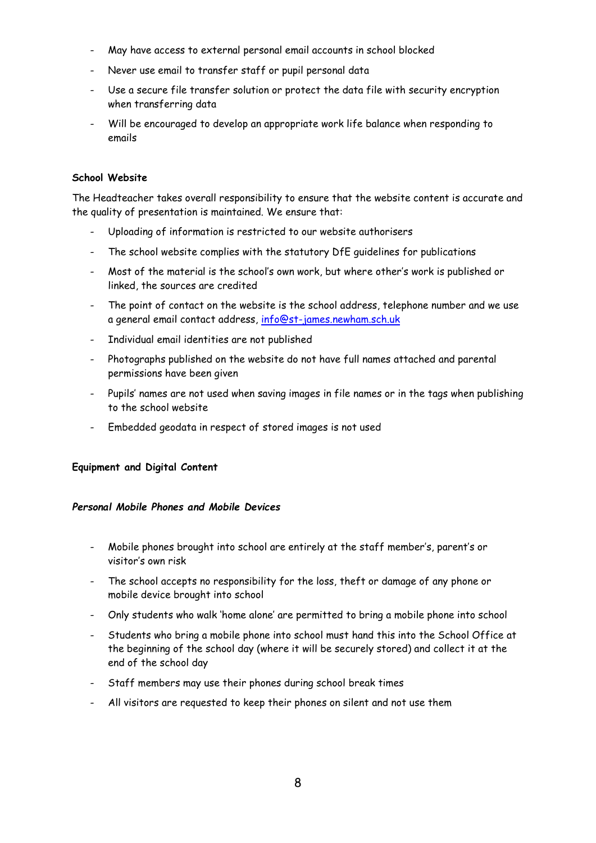- May have access to external personal email accounts in school blocked
- Never use email to transfer staff or pupil personal data
- Use a secure file transfer solution or protect the data file with security encryption when transferring data
- Will be encouraged to develop an appropriate work life balance when responding to emails

#### **School Website**

The Headteacher takes overall responsibility to ensure that the website content is accurate and the quality of presentation is maintained. We ensure that:

- Uploading of information is restricted to our website authorisers
- The school website complies with the statutory DfE guidelines for publications
- Most of the material is the school's own work, but where other's work is published or linked, the sources are credited
- The point of contact on the website is the school address, telephone number and we use a general email contact address, [info@st-james.newham.sch.uk](mailto:info@st-james.newham.sch.uk)
- Individual email identities are not published
- Photographs published on the website do not have full names attached and parental permissions have been given
- Pupils' names are not used when saving images in file names or in the tags when publishing to the school website
- Embedded geodata in respect of stored images is not used

#### **Equipment and Digital Content**

#### *Personal Mobile Phones and Mobile Devices*

- Mobile phones brought into school are entirely at the staff member's, parent's or visitor's own risk
- The school accepts no responsibility for the loss, theft or damage of any phone or mobile device brought into school
- Only students who walk 'home alone' are permitted to bring a mobile phone into school
- Students who bring a mobile phone into school must hand this into the School Office at the beginning of the school day (where it will be securely stored) and collect it at the end of the school day
- Staff members may use their phones during school break times
- All visitors are requested to keep their phones on silent and not use them